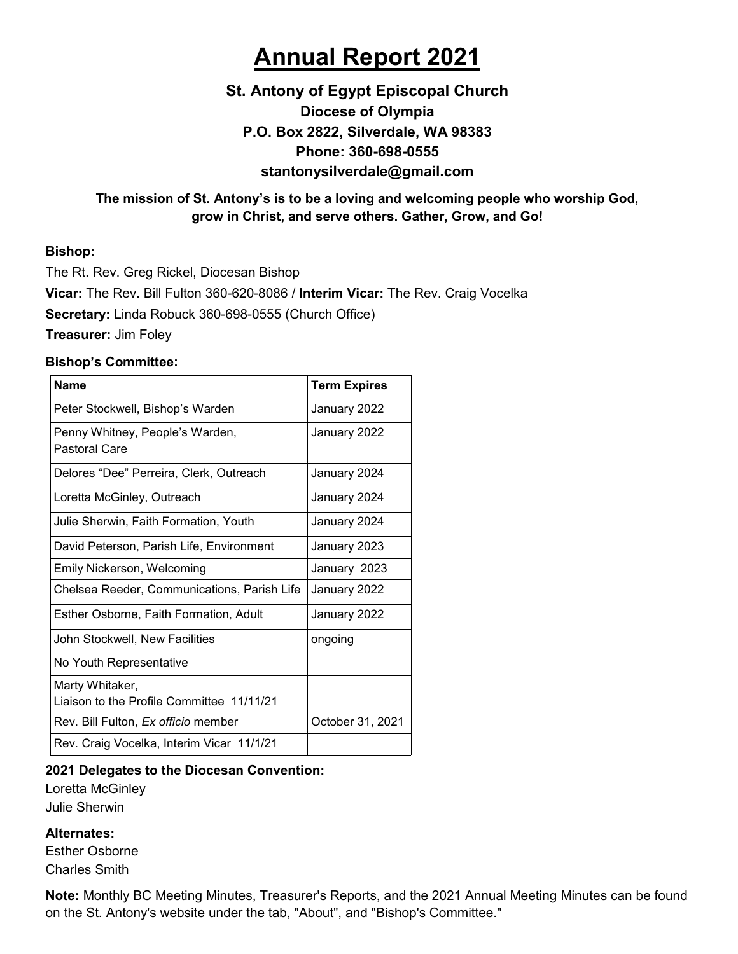# **Annual Report 2021**

### **St. Antony of Egypt Episcopal Church Diocese of Olympia P.O. Box 2822, Silverdale, WA 98383 Phone: 360-698-0555 stantonysilverdale@gmail.com**

#### **The mission of St. Antony's is to be a loving and welcoming people who worship God, grow in Christ, and serve others. Gather, Grow, and Go!**

#### **Bishop:**

The Rt. Rev. Greg Rickel, Diocesan Bishop **Vicar:** The Rev. Bill Fulton 360-620-8086 / **Interim Vicar:** The Rev. Craig Vocelka **Secretary:** Linda Robuck 360-698-0555 (Church Office) **Treasurer:** Jim Foley

#### **Bishop's Committee:**

| <b>Name</b>                                                  | <b>Term Expires</b> |
|--------------------------------------------------------------|---------------------|
| Peter Stockwell, Bishop's Warden                             | January 2022        |
| Penny Whitney, People's Warden,<br>Pastoral Care             | January 2022        |
| Delores "Dee" Perreira, Clerk, Outreach                      | January 2024        |
| Loretta McGinley, Outreach                                   | January 2024        |
| Julie Sherwin, Faith Formation, Youth                        | January 2024        |
| David Peterson, Parish Life, Environment                     | January 2023        |
| Emily Nickerson, Welcoming                                   | January 2023        |
| Chelsea Reeder, Communications, Parish Life                  | January 2022        |
| Esther Osborne, Faith Formation, Adult                       | January 2022        |
| John Stockwell, New Facilities                               | ongoing             |
| No Youth Representative                                      |                     |
| Marty Whitaker,<br>Liaison to the Profile Committee 11/11/21 |                     |
| Rev. Bill Fulton, <i>Ex officio</i> member                   | October 31, 2021    |
| Rev. Craig Vocelka, Interim Vicar 11/1/21                    |                     |

#### **2021 Delegates to the Diocesan Convention:**

Loretta McGinley Julie Sherwin

#### **Alternates:**

Esther Osborne Charles Smith

**Note:** Monthly BC Meeting Minutes, Treasurer's Reports, and the 2021 Annual Meeting Minutes can be found on the St. Antony's website under the tab, "About", and "Bishop's Committee."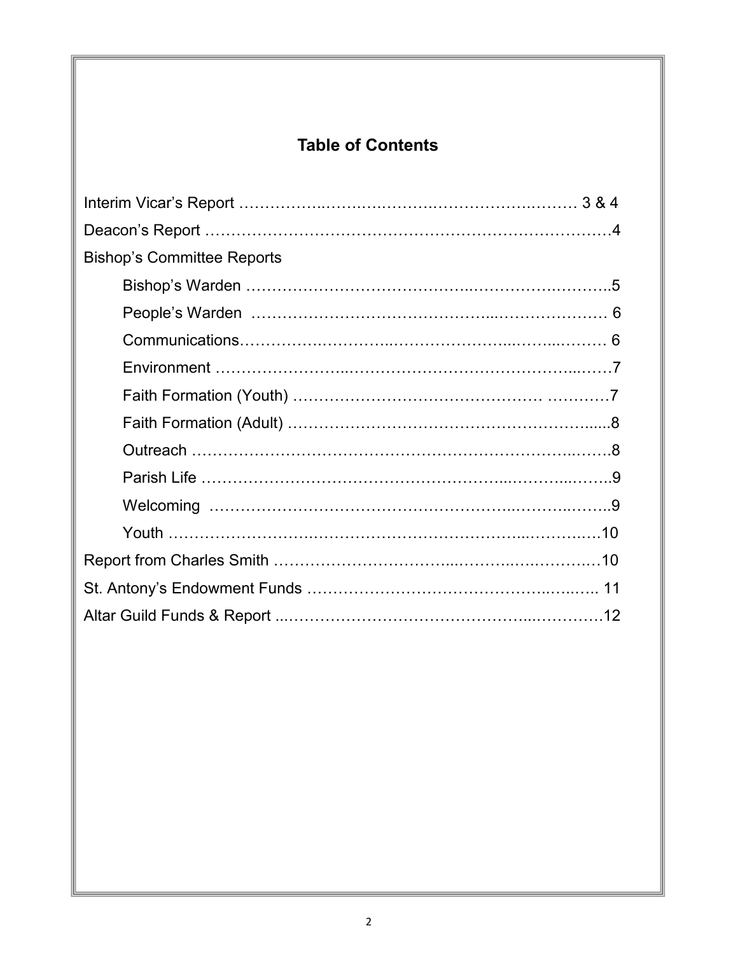## **Table of Contents**

| <b>Bishop's Committee Reports</b>         |  |
|-------------------------------------------|--|
|                                           |  |
|                                           |  |
|                                           |  |
|                                           |  |
|                                           |  |
|                                           |  |
|                                           |  |
| Parish Life …………………………………………………………………………9 |  |
|                                           |  |
|                                           |  |
|                                           |  |
|                                           |  |
|                                           |  |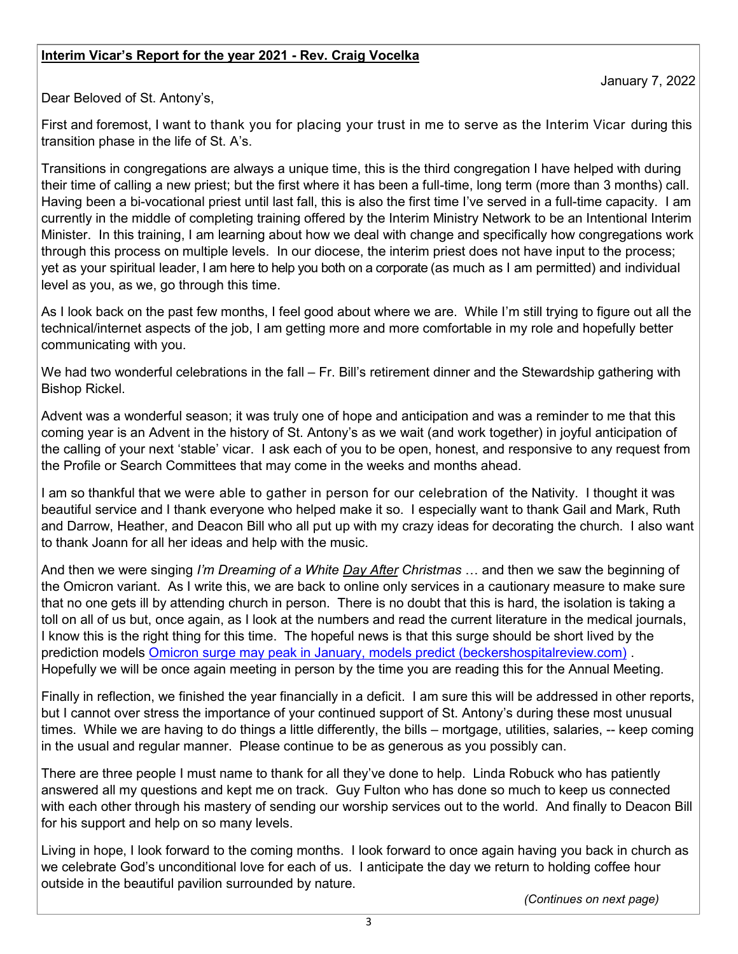#### **Interim Vicar's Report for the year 2021 - Rev. Craig Vocelka**

Dear Beloved of St. Antony's,

First and foremost, I want to thank you for placing your trust in me to serve as the Interim Vicar during this transition phase in the life of St. A's.

Transitions in congregations are always a unique time, this is the third congregation I have helped with during their time of calling a new priest; but the first where it has been a full-time, long term (more than 3 months) call. Having been a bi-vocational priest until last fall, this is also the first time I've served in a full-time capacity. I am currently in the middle of completing training offered by the Interim Ministry Network to be an Intentional Interim Minister. In this training, I am learning about how we deal with change and specifically how congregations work through this process on multiple levels. In our diocese, the interim priest does not have input to the process; yet as your spiritual leader, I am here to help you both on a corporate (as much as I am permitted) and individual level as you, as we, go through this time.

As I look back on the past few months, I feel good about where we are. While I'm still trying to figure out all the technical/internet aspects of the job, I am getting more and more comfortable in my role and hopefully better communicating with you.

We had two wonderful celebrations in the fall – Fr. Bill's retirement dinner and the Stewardship gathering with Bishop Rickel.

Advent was a wonderful season; it was truly one of hope and anticipation and was a reminder to me that this coming year is an Advent in the history of St. Antony's as we wait (and work together) in joyful anticipation of the calling of your next 'stable' vicar. I ask each of you to be open, honest, and responsive to any request from the Profile or Search Committees that may come in the weeks and months ahead.

I am so thankful that we were able to gather in person for our celebration of the Nativity. I thought it was beautiful service and I thank everyone who helped make it so. I especially want to thank Gail and Mark, Ruth and Darrow, Heather, and Deacon Bill who all put up with my crazy ideas for decorating the church. I also want to thank Joann for all her ideas and help with the music.

And then we were singing *I'm Dreaming of a White Day After Christmas* … and then we saw the beginning of the Omicron variant. As I write this, we are back to online only services in a cautionary measure to make sure that no one gets ill by attending church in person. There is no doubt that this is hard, the isolation is taking a toll on all of us but, once again, as I look at the numbers and read the current literature in the medical journals, I know this is the right thing for this time. The hopeful news is that this surge should be short lived by the prediction models [Omicron surge may peak in January, models predict \(beckershospitalreview.com\)](https://www.beckershospitalreview.com/public-health/omicron-surge-may-peak-in-january-models-predict.html?origin=BHRE&utm_source=BHRE&utm_medium=email&utm_content=newsletter&oly_enc_id=5445B0809612G8Y) . Hopefully we will be once again meeting in person by the time you are reading this for the Annual Meeting.

Finally in reflection, we finished the year financially in a deficit. I am sure this will be addressed in other reports, but I cannot over stress the importance of your continued support of St. Antony's during these most unusual times. While we are having to do things a little differently, the bills – mortgage, utilities, salaries, -- keep coming in the usual and regular manner. Please continue to be as generous as you possibly can.

There are three people I must name to thank for all they've done to help. Linda Robuck who has patiently answered all my questions and kept me on track. Guy Fulton who has done so much to keep us connected with each other through his mastery of sending our worship services out to the world. And finally to Deacon Bill for his support and help on so many levels.

Living in hope, I look forward to the coming months. I look forward to once again having you back in church as we celebrate God's unconditional love for each of us. I anticipate the day we return to holding coffee hour outside in the beautiful pavilion surrounded by nature.

*(Continues on next page)*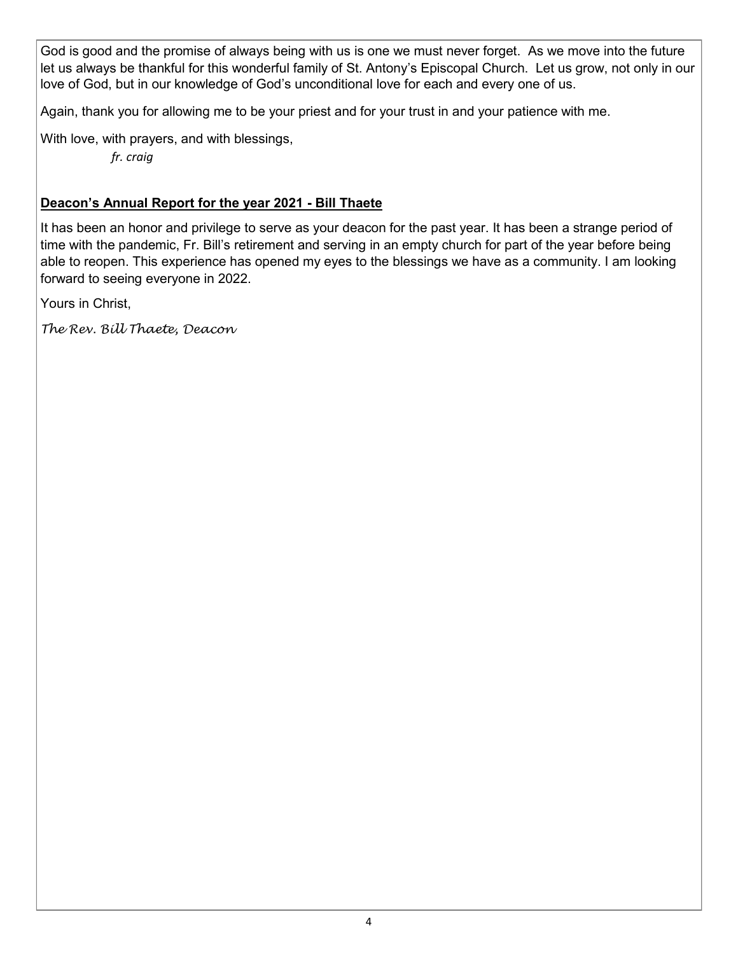God is good and the promise of always being with us is one we must never forget. As we move into the future let us always be thankful for this wonderful family of St. Antony's Episcopal Church. Let us grow, not only in our love of God, but in our knowledge of God's unconditional love for each and every one of us.

Again, thank you for allowing me to be your priest and for your trust in and your patience with me.

With love, with prayers, and with blessings,

*fr. craig*

#### **Deacon's Annual Report for the year 2021 - Bill Thaete**

It has been an honor and privilege to serve as your deacon for the past year. It has been a strange period of time with the pandemic, Fr. Bill's retirement and serving in an empty church for part of the year before being able to reopen. This experience has opened my eyes to the blessings we have as a community. I am looking forward to seeing everyone in 2022.

Yours in Christ,

*The Rev. Bill Thaete, Deacon*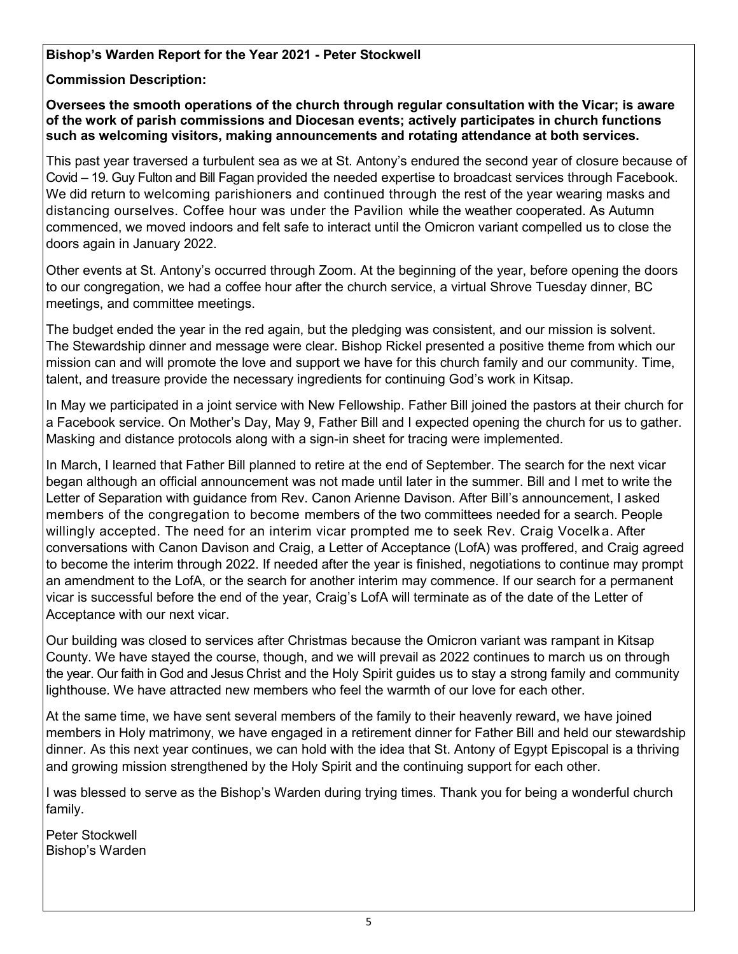#### **Bishop's Warden Report for the Year 2021 - Peter Stockwell**

#### **Commission Description:**

**Oversees the smooth operations of the church through regular consultation with the Vicar; is aware of the work of parish commissions and Diocesan events; actively participates in church functions such as welcoming visitors, making announcements and rotating attendance at both services.**

This past year traversed a turbulent sea as we at St. Antony's endured the second year of closure because of Covid – 19. Guy Fulton and Bill Fagan provided the needed expertise to broadcast services through Facebook. We did return to welcoming parishioners and continued through the rest of the year wearing masks and distancing ourselves. Coffee hour was under the Pavilion while the weather cooperated. As Autumn commenced, we moved indoors and felt safe to interact until the Omicron variant compelled us to close the doors again in January 2022.

Other events at St. Antony's occurred through Zoom. At the beginning of the year, before opening the doors to our congregation, we had a coffee hour after the church service, a virtual Shrove Tuesday dinner, BC meetings, and committee meetings.

The budget ended the year in the red again, but the pledging was consistent, and our mission is solvent. The Stewardship dinner and message were clear. Bishop Rickel presented a positive theme from which our mission can and will promote the love and support we have for this church family and our community. Time, talent, and treasure provide the necessary ingredients for continuing God's work in Kitsap.

In May we participated in a joint service with New Fellowship. Father Bill joined the pastors at their church for a Facebook service. On Mother's Day, May 9, Father Bill and I expected opening the church for us to gather. Masking and distance protocols along with a sign-in sheet for tracing were implemented.

In March, I learned that Father Bill planned to retire at the end of September. The search for the next vicar began although an official announcement was not made until later in the summer. Bill and I met to write the Letter of Separation with guidance from Rev. Canon Arienne Davison. After Bill's announcement, I asked members of the congregation to become members of the two committees needed for a search. People willingly accepted. The need for an interim vicar prompted me to seek Rev. Craig Vocelka. After conversations with Canon Davison and Craig, a Letter of Acceptance (LofA) was proffered, and Craig agreed to become the interim through 2022. If needed after the year is finished, negotiations to continue may prompt an amendment to the LofA, or the search for another interim may commence. If our search for a permanent vicar is successful before the end of the year, Craig's LofA will terminate as of the date of the Letter of Acceptance with our next vicar.

Our building was closed to services after Christmas because the Omicron variant was rampant in Kitsap County. We have stayed the course, though, and we will prevail as 2022 continues to march us on through the year. Our faith in God and Jesus Christ and the Holy Spirit guides us to stay a strong family and community lighthouse. We have attracted new members who feel the warmth of our love for each other.

At the same time, we have sent several members of the family to their heavenly reward, we have joined members in Holy matrimony, we have engaged in a retirement dinner for Father Bill and held our stewardship dinner. As this next year continues, we can hold with the idea that St. Antony of Egypt Episcopal is a thriving and growing mission strengthened by the Holy Spirit and the continuing support for each other.

I was blessed to serve as the Bishop's Warden during trying times. Thank you for being a wonderful church family.

Peter Stockwell Bishop's Warden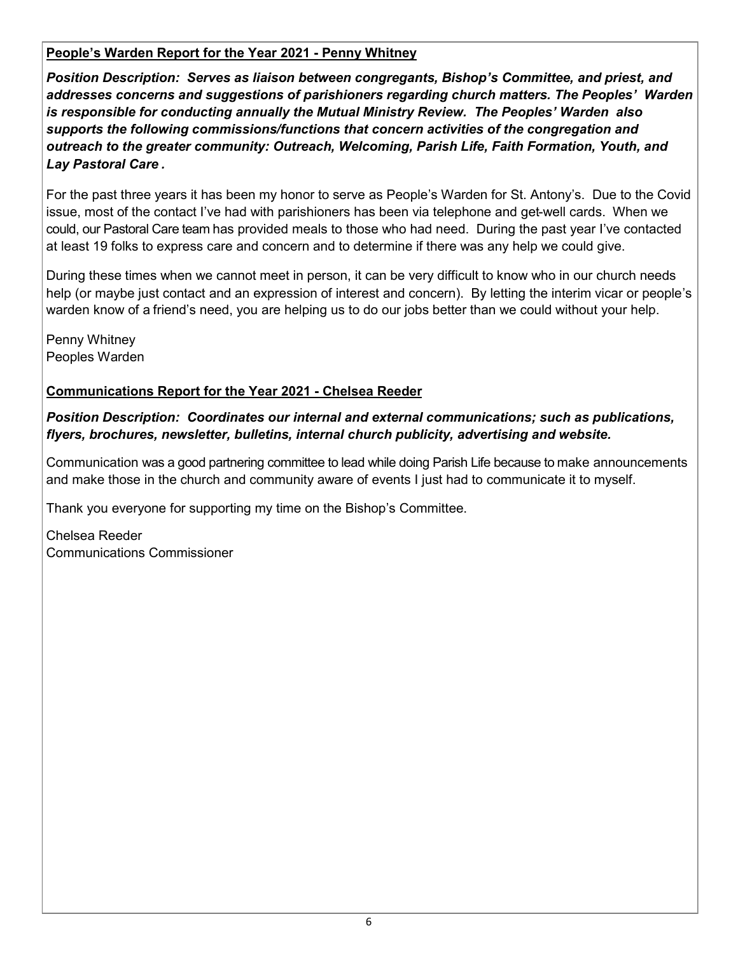#### **People's Warden Report for the Year 2021 - Penny Whitney**

*Position Description: Serves as liaison between congregants, Bishop's Committee, and priest, and addresses concerns and suggestions of parishioners regarding church matters. The Peoples' Warden is responsible for conducting annually the Mutual Ministry Review. The Peoples' Warden also supports the following commissions/functions that concern activities of the congregation and outreach to the greater community: Outreach, Welcoming, Parish Life, Faith Formation, Youth, and Lay Pastoral Care .*

For the past three years it has been my honor to serve as People's Warden for St. Antony's. Due to the Covid issue, most of the contact I've had with parishioners has been via telephone and get-well cards. When we could, our Pastoral Care team has provided meals to those who had need. During the past year I've contacted at least 19 folks to express care and concern and to determine if there was any help we could give.

During these times when we cannot meet in person, it can be very difficult to know who in our church needs help (or maybe just contact and an expression of interest and concern). By letting the interim vicar or people's warden know of a friend's need, you are helping us to do our jobs better than we could without your help.

Penny Whitney Peoples Warden

#### **Communications Report for the Year 2021 - Chelsea Reeder**

*Position Description: Coordinates our internal and external communications; such as publications, flyers, brochures, newsletter, bulletins, internal church publicity, advertising and website.* 

Communication was a good partnering committee to lead while doing Parish Life because to make announcements and make those in the church and community aware of events I just had to communicate it to myself.

Thank you everyone for supporting my time on the Bishop's Committee.

Chelsea Reeder Communications Commissioner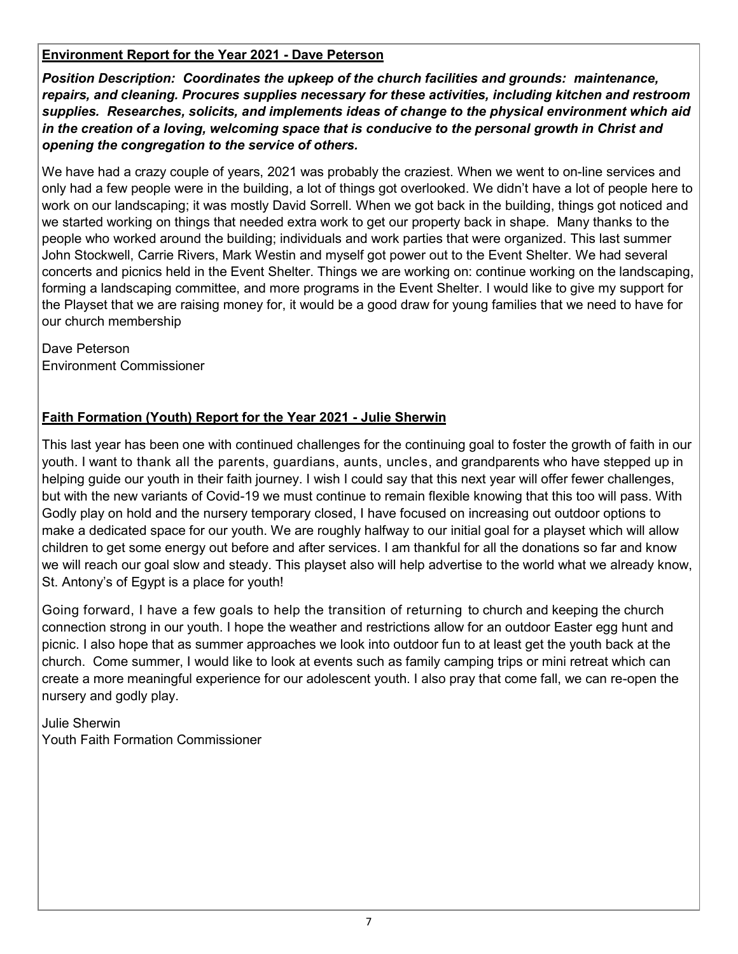#### **Environment Report for the Year 2021 - Dave Peterson**

*Position Description: Coordinates the upkeep of the church facilities and grounds: maintenance, repairs, and cleaning. Procures supplies necessary for these activities, including kitchen and restroom supplies. Researches, solicits, and implements ideas of change to the physical environment which aid in the creation of a loving, welcoming space that is conducive to the personal growth in Christ and opening the congregation to the service of others.*

We have had a crazy couple of years, 2021 was probably the craziest. When we went to on-line services and only had a few people were in the building, a lot of things got overlooked. We didn't have a lot of people here to work on our landscaping; it was mostly David Sorrell. When we got back in the building, things got noticed and we started working on things that needed extra work to get our property back in shape. Many thanks to the people who worked around the building; individuals and work parties that were organized. This last summer John Stockwell, Carrie Rivers, Mark Westin and myself got power out to the Event Shelter. We had several concerts and picnics held in the Event Shelter. Things we are working on: continue working on the landscaping, forming a landscaping committee, and more programs in the Event Shelter. I would like to give my support for the Playset that we are raising money for, it would be a good draw for young families that we need to have for our church membership

Dave Peterson Environment Commissioner

#### **Faith Formation (Youth) Report for the Year 2021 - Julie Sherwin**

This last year has been one with continued challenges for the continuing goal to foster the growth of faith in our youth. I want to thank all the parents, guardians, aunts, uncles, and grandparents who have stepped up in helping guide our youth in their faith journey. I wish I could say that this next year will offer fewer challenges, but with the new variants of Covid-19 we must continue to remain flexible knowing that this too will pass. With Godly play on hold and the nursery temporary closed, I have focused on increasing out outdoor options to make a dedicated space for our youth. We are roughly halfway to our initial goal for a playset which will allow children to get some energy out before and after services. I am thankful for all the donations so far and know we will reach our goal slow and steady. This playset also will help advertise to the world what we already know, St. Antony's of Egypt is a place for youth!

Going forward, I have a few goals to help the transition of returning to church and keeping the church connection strong in our youth. I hope the weather and restrictions allow for an outdoor Easter egg hunt and picnic. I also hope that as summer approaches we look into outdoor fun to at least get the youth back at the church. Come summer, I would like to look at events such as family camping trips or mini retreat which can create a more meaningful experience for our adolescent youth. I also pray that come fall, we can re-open the nursery and godly play.

Julie Sherwin Youth Faith Formation Commissioner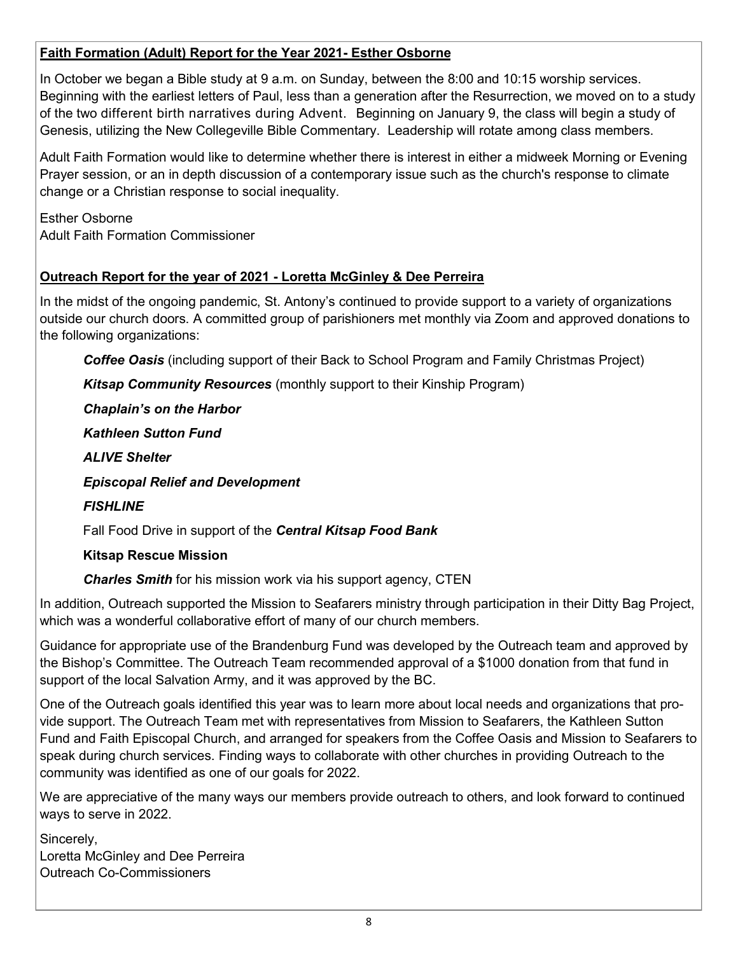#### **Faith Formation (Adult) Report for the Year 2021- Esther Osborne**

In October we began a Bible study at 9 a.m. on Sunday, between the 8:00 and 10:15 worship services. Beginning with the earliest letters of Paul, less than a generation after the Resurrection, we moved on to a study of the two different birth narratives during Advent. Beginning on January 9, the class will begin a study of Genesis, utilizing the New Collegeville Bible Commentary. Leadership will rotate among class members.

Adult Faith Formation would like to determine whether there is interest in either a midweek Morning or Evening Prayer session, or an in depth discussion of a contemporary issue such as the church's response to climate change or a Christian response to social inequality.

Esther Osborne Adult Faith Formation Commissioner

#### **Outreach Report for the year of 2021 - Loretta McGinley & Dee Perreira**

In the midst of the ongoing pandemic, St. Antony's continued to provide support to a variety of organizations outside our church doors. A committed group of parishioners met monthly via Zoom and approved donations to the following organizations:

*Coffee Oasis* (including support of their Back to School Program and Family Christmas Project)

*Kitsap Community Resources* (monthly support to their Kinship Program)

*Chaplain's on the Harbor* 

*Kathleen Sutton Fund* 

*ALIVE Shelter* 

*Episcopal Relief and Development* 

*FISHLINE* 

Fall Food Drive in support of the *Central Kitsap Food Bank* 

#### **Kitsap Rescue Mission**

*Charles Smith* for his mission work via his support agency, CTEN

In addition, Outreach supported the Mission to Seafarers ministry through participation in their Ditty Bag Project, which was a wonderful collaborative effort of many of our church members.

Guidance for appropriate use of the Brandenburg Fund was developed by the Outreach team and approved by the Bishop's Committee. The Outreach Team recommended approval of a \$1000 donation from that fund in support of the local Salvation Army, and it was approved by the BC.

One of the Outreach goals identified this year was to learn more about local needs and organizations that provide support. The Outreach Team met with representatives from Mission to Seafarers, the Kathleen Sutton Fund and Faith Episcopal Church, and arranged for speakers from the Coffee Oasis and Mission to Seafarers to speak during church services. Finding ways to collaborate with other churches in providing Outreach to the community was identified as one of our goals for 2022.

We are appreciative of the many ways our members provide outreach to others, and look forward to continued ways to serve in 2022.

Sincerely,

Loretta McGinley and Dee Perreira Outreach Co-Commissioners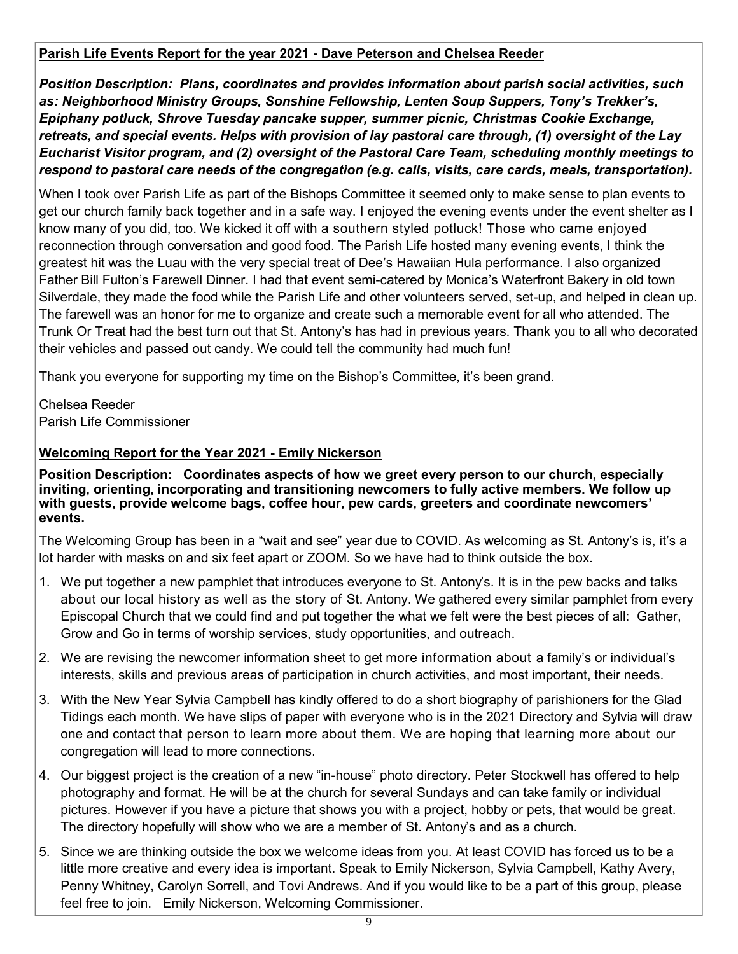#### **Parish Life Events Report for the year 2021 - Dave Peterson and Chelsea Reeder**

*Position Description: Plans, coordinates and provides information about parish social activities, such as: Neighborhood Ministry Groups, Sonshine Fellowship, Lenten Soup Suppers, Tony's Trekker's, Epiphany potluck, Shrove Tuesday pancake supper, summer picnic, Christmas Cookie Exchange, retreats, and special events. Helps with provision of lay pastoral care through, (1) oversight of the Lay Eucharist Visitor program, and (2) oversight of the Pastoral Care Team, scheduling monthly meetings to respond to pastoral care needs of the congregation (e.g. calls, visits, care cards, meals, transportation).* 

When I took over Parish Life as part of the Bishops Committee it seemed only to make sense to plan events to get our church family back together and in a safe way. I enjoyed the evening events under the event shelter as I know many of you did, too. We kicked it off with a southern styled potluck! Those who came enjoyed reconnection through conversation and good food. The Parish Life hosted many evening events, I think the greatest hit was the Luau with the very special treat of Dee's Hawaiian Hula performance. I also organized Father Bill Fulton's Farewell Dinner. I had that event semi-catered by Monica's Waterfront Bakery in old town Silverdale, they made the food while the Parish Life and other volunteers served, set-up, and helped in clean up. The farewell was an honor for me to organize and create such a memorable event for all who attended. The Trunk Or Treat had the best turn out that St. Antony's has had in previous years. Thank you to all who decorated their vehicles and passed out candy. We could tell the community had much fun!

Thank you everyone for supporting my time on the Bishop's Committee, it's been grand.

Chelsea Reeder Parish Life Commissioner

#### **Welcoming Report for the Year 2021 - Emily Nickerson**

**Position Description: Coordinates aspects of how we greet every person to our church, especially inviting, orienting, incorporating and transitioning newcomers to fully active members. We follow up with guests, provide welcome bags, coffee hour, pew cards, greeters and coordinate newcomers' events.** 

The Welcoming Group has been in a "wait and see" year due to COVID. As welcoming as St. Antony's is, it's a lot harder with masks on and six feet apart or ZOOM. So we have had to think outside the box.

- 1. We put together a new pamphlet that introduces everyone to St. Antony's. It is in the pew backs and talks about our local history as well as the story of St. Antony. We gathered every similar pamphlet from every Episcopal Church that we could find and put together the what we felt were the best pieces of all: Gather, Grow and Go in terms of worship services, study opportunities, and outreach.
- 2. We are revising the newcomer information sheet to get more information about a family's or individual's interests, skills and previous areas of participation in church activities, and most important, their needs.
- 3. With the New Year Sylvia Campbell has kindly offered to do a short biography of parishioners for the Glad Tidings each month. We have slips of paper with everyone who is in the 2021 Directory and Sylvia will draw one and contact that person to learn more about them. We are hoping that learning more about our congregation will lead to more connections.
- 4. Our biggest project is the creation of a new "in-house" photo directory. Peter Stockwell has offered to help photography and format. He will be at the church for several Sundays and can take family or individual pictures. However if you have a picture that shows you with a project, hobby or pets, that would be great. The directory hopefully will show who we are a member of St. Antony's and as a church.
- 5. Since we are thinking outside the box we welcome ideas from you. At least COVID has forced us to be a little more creative and every idea is important. Speak to Emily Nickerson, Sylvia Campbell, Kathy Avery, Penny Whitney, Carolyn Sorrell, and Tovi Andrews. And if you would like to be a part of this group, please feel free to join. Emily Nickerson, Welcoming Commissioner.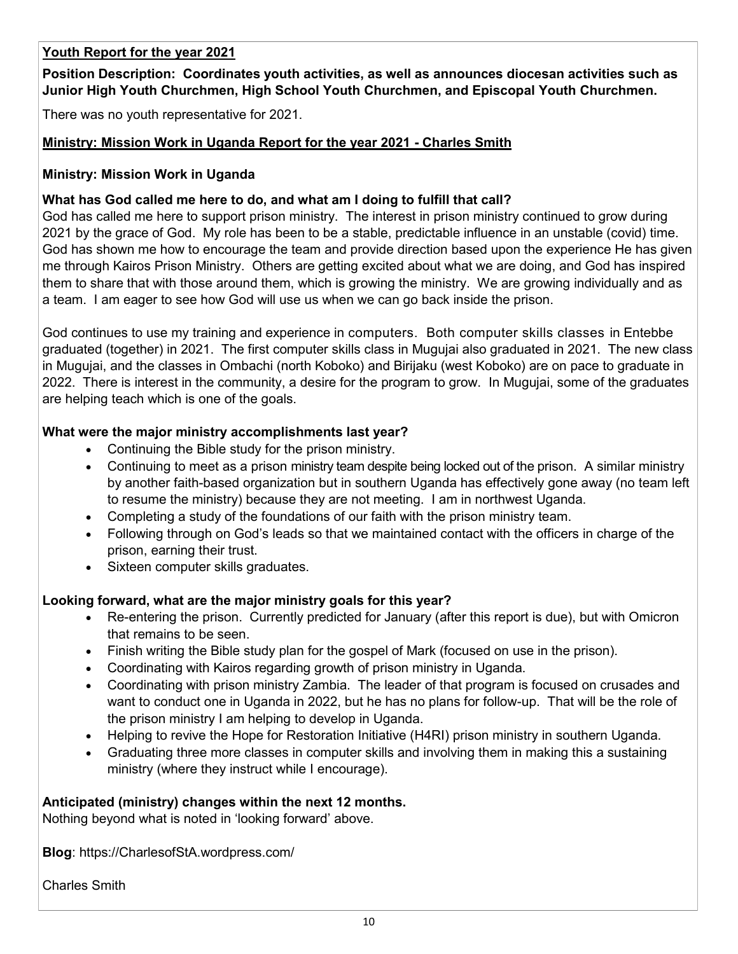#### **Youth Report for the year 2021**

**Position Description: Coordinates youth activities, as well as announces diocesan activities such as Junior High Youth Churchmen, High School Youth Churchmen, and Episcopal Youth Churchmen.** 

There was no youth representative for 2021.

#### **Ministry: Mission Work in Uganda Report for the year 2021 - Charles Smith**

#### **Ministry: Mission Work in Uganda**

#### **What has God called me here to do, and what am I doing to fulfill that call?**

God has called me here to support prison ministry. The interest in prison ministry continued to grow during 2021 by the grace of God. My role has been to be a stable, predictable influence in an unstable (covid) time. God has shown me how to encourage the team and provide direction based upon the experience He has given me through Kairos Prison Ministry. Others are getting excited about what we are doing, and God has inspired them to share that with those around them, which is growing the ministry. We are growing individually and as a team. I am eager to see how God will use us when we can go back inside the prison.

God continues to use my training and experience in computers. Both computer skills classes in Entebbe graduated (together) in 2021. The first computer skills class in Mugujai also graduated in 2021. The new class in Mugujai, and the classes in Ombachi (north Koboko) and Birijaku (west Koboko) are on pace to graduate in 2022. There is interest in the community, a desire for the program to grow. In Mugujai, some of the graduates are helping teach which is one of the goals.

#### **What were the major ministry accomplishments last year?**

- Continuing the Bible study for the prison ministry.
- Continuing to meet as a prison ministry team despite being locked out of the prison. A similar ministry by another faith-based organization but in southern Uganda has effectively gone away (no team left to resume the ministry) because they are not meeting. I am in northwest Uganda.
- Completing a study of the foundations of our faith with the prison ministry team.
- Following through on God's leads so that we maintained contact with the officers in charge of the prison, earning their trust.
- Sixteen computer skills graduates.

#### **Looking forward, what are the major ministry goals for this year?**

- Re-entering the prison. Currently predicted for January (after this report is due), but with Omicron that remains to be seen.
- Finish writing the Bible study plan for the gospel of Mark (focused on use in the prison).
- Coordinating with Kairos regarding growth of prison ministry in Uganda.
- Coordinating with prison ministry Zambia. The leader of that program is focused on crusades and want to conduct one in Uganda in 2022, but he has no plans for follow-up. That will be the role of the prison ministry I am helping to develop in Uganda.
- Helping to revive the Hope for Restoration Initiative (H4RI) prison ministry in southern Uganda.
- Graduating three more classes in computer skills and involving them in making this a sustaining ministry (where they instruct while I encourage).

#### **Anticipated (ministry) changes within the next 12 months.**

Nothing beyond what is noted in 'looking forward' above.

**Blog**: https://CharlesofStA.wordpress.com/

Charles Smith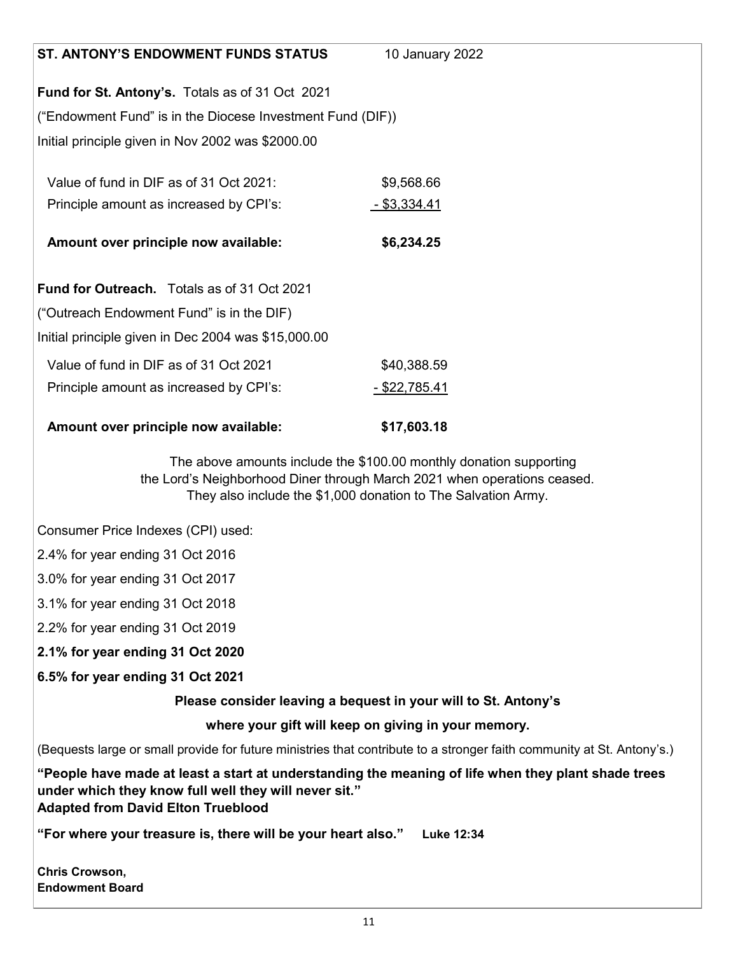| <b>ST. ANTONY'S ENDOWMENT FUNDS STATUS</b>                                                                                                                                                                | 10 January 2022                                                                                                                                                                                                 |
|-----------------------------------------------------------------------------------------------------------------------------------------------------------------------------------------------------------|-----------------------------------------------------------------------------------------------------------------------------------------------------------------------------------------------------------------|
| Fund for St. Antony's. Totals as of 31 Oct 2021                                                                                                                                                           |                                                                                                                                                                                                                 |
| ("Endowment Fund" is in the Diocese Investment Fund (DIF))                                                                                                                                                |                                                                                                                                                                                                                 |
| Initial principle given in Nov 2002 was \$2000.00                                                                                                                                                         |                                                                                                                                                                                                                 |
|                                                                                                                                                                                                           |                                                                                                                                                                                                                 |
| Value of fund in DIF as of 31 Oct 2021:                                                                                                                                                                   | \$9,568.66                                                                                                                                                                                                      |
| Principle amount as increased by CPI's:                                                                                                                                                                   | <u>- \$3,334.41</u>                                                                                                                                                                                             |
| Amount over principle now available:                                                                                                                                                                      | \$6,234.25                                                                                                                                                                                                      |
|                                                                                                                                                                                                           |                                                                                                                                                                                                                 |
| Fund for Outreach. Totals as of 31 Oct 2021                                                                                                                                                               |                                                                                                                                                                                                                 |
| ("Outreach Endowment Fund" is in the DIF)                                                                                                                                                                 |                                                                                                                                                                                                                 |
| Initial principle given in Dec 2004 was \$15,000.00                                                                                                                                                       |                                                                                                                                                                                                                 |
| Value of fund in DIF as of 31 Oct 2021                                                                                                                                                                    | \$40,388.59                                                                                                                                                                                                     |
| Principle amount as increased by CPI's:                                                                                                                                                                   | <u>- \$22,785.41</u>                                                                                                                                                                                            |
| Amount over principle now available:                                                                                                                                                                      | \$17,603.18                                                                                                                                                                                                     |
|                                                                                                                                                                                                           | The above amounts include the \$100.00 monthly donation supporting<br>the Lord's Neighborhood Diner through March 2021 when operations ceased.<br>They also include the \$1,000 donation to The Salvation Army. |
| Consumer Price Indexes (CPI) used:                                                                                                                                                                        |                                                                                                                                                                                                                 |
| 2.4% for year ending 31 Oct 2016                                                                                                                                                                          |                                                                                                                                                                                                                 |
| 3.0% for year ending 31 Oct 2017                                                                                                                                                                          |                                                                                                                                                                                                                 |
| 3.1% for year ending 31 Oct 2018                                                                                                                                                                          |                                                                                                                                                                                                                 |
| 2.2% for year ending 31 Oct 2019                                                                                                                                                                          |                                                                                                                                                                                                                 |
| 2.1% for year ending 31 Oct 2020                                                                                                                                                                          |                                                                                                                                                                                                                 |
| 6.5% for year ending 31 Oct 2021                                                                                                                                                                          |                                                                                                                                                                                                                 |
|                                                                                                                                                                                                           | Please consider leaving a bequest in your will to St. Antony's                                                                                                                                                  |
|                                                                                                                                                                                                           | where your gift will keep on giving in your memory.                                                                                                                                                             |
| (Bequests large or small provide for future ministries that contribute to a stronger faith community at St. Antony's.)                                                                                    |                                                                                                                                                                                                                 |
| "People have made at least a start at understanding the meaning of life when they plant shade trees<br>under which they know full well they will never sit."<br><b>Adapted from David Elton Trueblood</b> |                                                                                                                                                                                                                 |
| "For where your treasure is, there will be your heart also." Luke 12:34                                                                                                                                   |                                                                                                                                                                                                                 |
| Chris Crowson,<br><b>Endowment Board</b>                                                                                                                                                                  |                                                                                                                                                                                                                 |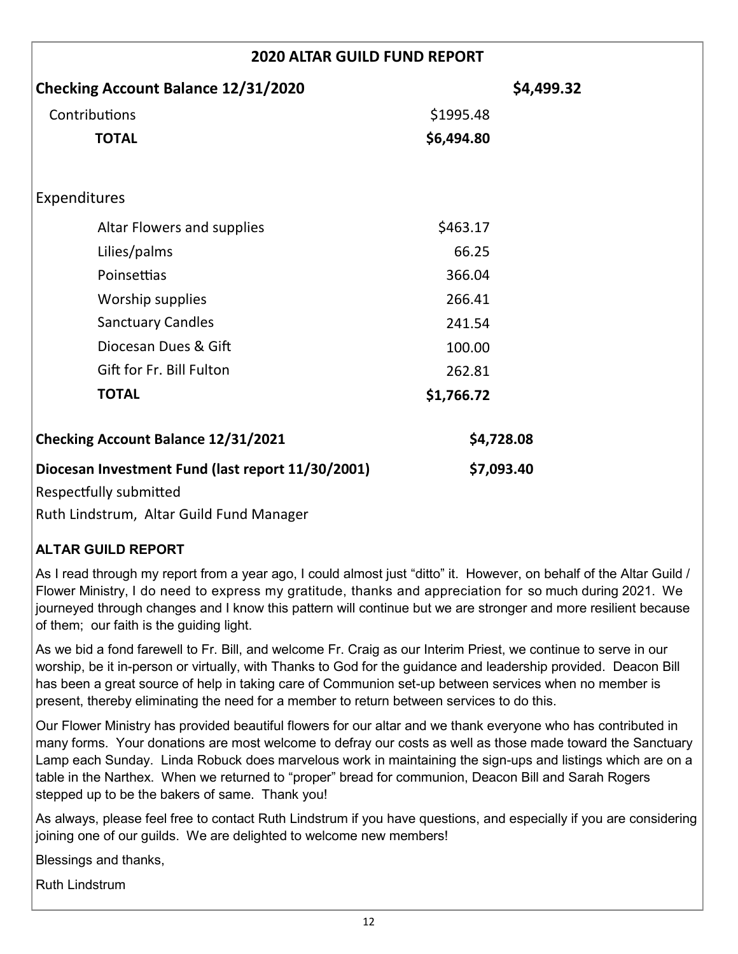| <b>2020 ALTAR GUILD FUND REPORT</b>                                         |            |  |
|-----------------------------------------------------------------------------|------------|--|
| <b>Checking Account Balance 12/31/2020</b>                                  | \$4,499.32 |  |
| Contributions                                                               | \$1995.48  |  |
| <b>TOTAL</b>                                                                | \$6,494.80 |  |
| <b>Expenditures</b>                                                         |            |  |
| Altar Flowers and supplies                                                  | \$463.17   |  |
| Lilies/palms                                                                | 66.25      |  |
| Poinsettias                                                                 | 366.04     |  |
| Worship supplies                                                            | 266.41     |  |
| <b>Sanctuary Candles</b>                                                    | 241.54     |  |
| Diocesan Dues & Gift                                                        | 100.00     |  |
| Gift for Fr. Bill Fulton                                                    | 262.81     |  |
| <b>TOTAL</b>                                                                | \$1,766.72 |  |
| Checking Account Balance 12/31/2021                                         | \$4,728.08 |  |
| Diocesan Investment Fund (last report 11/30/2001)<br>Respectfully submitted | \$7,093.40 |  |

Ruth Lindstrum, Altar Guild Fund Manager

#### **ALTAR GUILD REPORT**

As I read through my report from a year ago, I could almost just "ditto" it. However, on behalf of the Altar Guild / Flower Ministry, I do need to express my gratitude, thanks and appreciation for so much during 2021. We journeyed through changes and I know this pattern will continue but we are stronger and more resilient because of them; our faith is the guiding light.

As we bid a fond farewell to Fr. Bill, and welcome Fr. Craig as our Interim Priest, we continue to serve in our worship, be it in-person or virtually, with Thanks to God for the guidance and leadership provided. Deacon Bill has been a great source of help in taking care of Communion set-up between services when no member is present, thereby eliminating the need for a member to return between services to do this.

Our Flower Ministry has provided beautiful flowers for our altar and we thank everyone who has contributed in many forms. Your donations are most welcome to defray our costs as well as those made toward the Sanctuary Lamp each Sunday. Linda Robuck does marvelous work in maintaining the sign-ups and listings which are on a table in the Narthex. When we returned to "proper" bread for communion, Deacon Bill and Sarah Rogers stepped up to be the bakers of same. Thank you!

As always, please feel free to contact Ruth Lindstrum if you have questions, and especially if you are considering joining one of our guilds. We are delighted to welcome new members!

Blessings and thanks,

Ruth Lindstrum